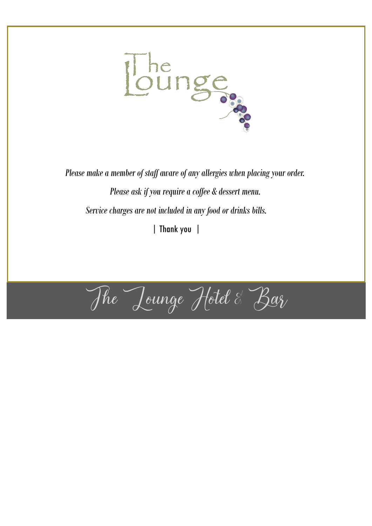

*Please make a member of staff aware of any allergies when placing your order. Please ask if you require a coffee & dessert menu. Service charges are not included in any food or drinks bills.* | Thank you |

The Lounge Hotel & Bar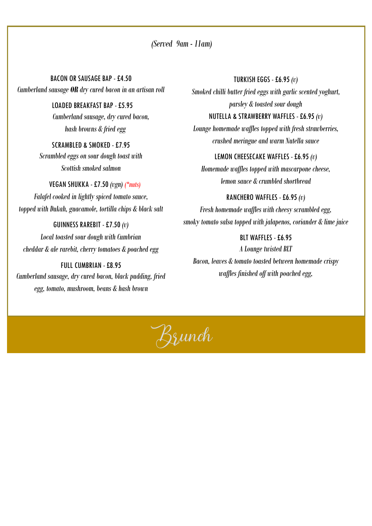*(Served 9am - 11am)*

BACON OR SAUSAGE BAP - £4.50 *Cumberland sausage OR dry cured bacon in an artisan roll*

> LOADED BREAKFAST BAP -£5.95 *Cumberland sausage, dry cured bacon, hash browns & fried egg*

SCRAMBLED & SMOKED - £7.95 *Scrambled eggs on sour dough toast with Scottish smoked salmon*

 VEGAN SHUKKA -£7.50 *(vgn) (\*nuts) Falafel cooked in lightly spiced tomato sauce, topped with Dukah, guacamole, tortilla chips & black salt*

GUINNESS RAREBIT -£7.50 *(v) Local toasted sour dough with Cumbrian cheddar & ale rarebit, cherry tomatoes & poached egg*

FULL CUMBRIAN -£8.95 *Cumberland sausage, dry cured bacon, black pudding, fried egg, tomato, mushroom, beans & hash brown*

TURKISH EGGS - £6.95 *(v) Smoked chilli butter fried eggs with garlic scented yoghurt, parsley & toasted sour dough* 

*Lounge homemade waffles topped with fresh strawberries, crushed meringue and warm Nutella sauce*

NUTELLA & STRAWBERRY WAFFLES -£6.95 *(v)* 

#### LEMON CHEESECAKE WAFFLES -£6.95 *(v)*

*Homemade waffles topped with mascarpone cheese, lemon sauce & crumbled shortbread*

RANCHERO WAFFLES -£6.95 *(v) Fresh homemade waffles with cheesy scrambled egg, smoky tomato salsa topped with jalapenos, coriander & lime juice*

BLT WAFFLES - £6.95 *A Lounge twisted BLT Bacon, leaves & tomato toasted between homemade crispy waffles finished off with poached egg,* 

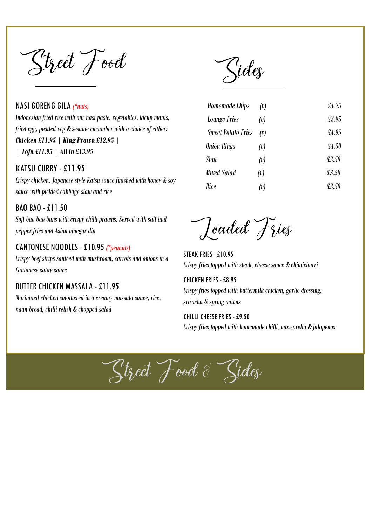Street Food

NASI GORENG GILA *(\*nuts) Indonesian fried rice with our nasi paste, vegetables, kicup manis, fried egg, pickled veg & sesame cucumber with a choice of either: Chicken £11.95 | King Prawn £12.95 |* 

*| Tofu £11.95 | All In £13.95* 

#### KATSU CURRY -£11.95

*Crispy chicken, Japanese style Katsu sauce finished with honey & soy sauce with pickled cabbage slaw and rice*

#### BAO BAO -£11.50

*Soft bao bao buns with crispy chilli prawns. Served with salt and pepper fries and Asian vinegar dip*

#### CANTONESE NOODLES - £10.95 *(\*peanuts)*

*Crispy beef strips sautéed with mushroom, carrots and onions in a Cantonese satay sauce* 

#### BUTTER CHICKEN MASSALA - £11.95

*Marinated chicken smothered in a creamy massala sauce, rice, naan bread, chilli relish & chopped salad* 

Kides

| Homemade Chips            | (v) | £4.25 |
|---------------------------|-----|-------|
| <b>Lounge Fries</b>       | (v) | £3.95 |
| <b>Sweet Potato Fries</b> | (v) | £4.95 |
| <b>Onion Rings</b>        | (v) | £4.50 |
| Slaw                      | (v) | £3.50 |
| Mixed Salad               | (v) | £3.50 |
| Rice                      | (v) | £3.50 |

Joaded Fries

STEAK FRIES - £10.95 *Crispy fries topped with steak, cheese sauce & chimichurri*

CHICKEN FRIES - £8.95 *Crispy fries topped with buttermilk chicken, garlic dressing, sriracha & spring onions*

CHILLI CHEESE FRIES - £9.50 *Crispy fries topped with homemade chilli, mozzarella & jalapenos*

Street Food & Sider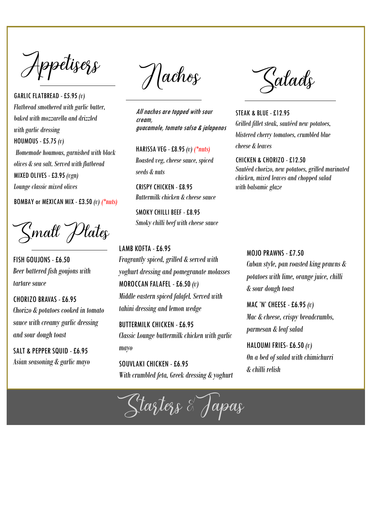Appetisess

GARLIC FLATBREAD - £5.95 *(v) Flatbread smothered with garlic butter, baked with mozzarella and drizzled with garlic dressing* HOUMOUS - £5.75 *(v) Homemade houmous, garnished with black olives & sea salt. Served with flatbread* MIXED OLIVES - £3.95 *(vgn) Lounge classic mixed olives*

BOMBAY or MEXICAN MIX - £3.50 *(v) (\*nuts)* 

"Small" Plates

FISH GOUJONS -£6.50 *Beer battered fish goujons with tartare sauce*

CHORIZO BRAVAS -£6.95 *Chorizo & potatoes cooked in tomato sauce with creamy garlic dressing and sour dough toast*

SALT & PEPPER SQUID -£6.95 *Asian seasoning & garlic mayo*

Hachos

All nachos are topped with sour cream, guacamole, tomato salsa & jalapenos

HARISSA VEG - £8.95 *(v) (\*nuts) Roasted veg, cheese sauce, spiced seeds & nuts*

CRISPY CHICKEN - £8.95 *Buttermilk chicken & cheese sauce*

SMOKY CHILLI BEEF - £8.95 *Smoky chilli beef with cheese sauce*

LAMB KOFTA -£6.95 *Fragrantly spiced, grilled & served with yoghurt dressing and pomegranate molasses* MOROCCAN FALAFEL -£6.50 *(v) Middle eastern spiced falafel. Served with tahini dressing and lemon wedge* 

BUTTERMILK CHICKEN -£6.95 *Classic Lounge buttermilk chicken with garlic mayo*

SOUVLAKI CHICKEN -£6.95 *With crumbled feta, Greek dressing & yoghurt*

<u> Z</u>aladş

STEAK & BLUE - £12.95 *Grilled fillet steak, sautéed new potatoes, blistered cherry tomatoes, crumbled blue cheese & leaves* 

CHICKEN & CHORIZO - £12.50 *Sautéed chorizo, new potatoes, grilled marinated chicken, mixed leaves and chopped salad with balsamic glaze*

MOJO PRAWNS -£7.50 *Cuban style, pan roasted king prawns & potatoes with lime, orange juice, chilli & sour dough toast*

MAC 'N' CHEESE -£6.95 *(v) Mac & cheese, crispy breadcrumbs, parmesan & leaf salad*

HALOUMI FRIES-£6.50 *(v) On a bed of salad with chimichurri & chilli relish*

Starters & Japas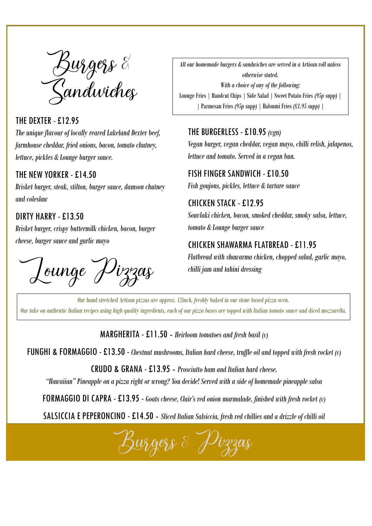Burgers &<br>Sandwiches

THE DEXTER -£12.95 *The unique flavour of locally reared Lakeland Dexter beef, farmhouse cheddar, fried onions, bacon, tomato chutney, lettuce, pickles & Lounge burger sauce.* 

### THE NEW YORKER - £14.50

*Brisket burger, steak, stilton, burger sauce, damson chutney and coleslaw*

### DIRTY HARRY -£13.50

*Brisket burger, crispy buttermilk chicken, bacon, burger cheese, burger sauce and garlic mayo*

Lounge Pizzas

*All our homemade burgers & sandwiches are served in a Artisan roll unless otherwise stated. With a choice of any of the following:* Lounge Fries | Handcut Chips | Side Salad | Sweet Potato Fries *(95p supp)* | | Parmesan Fries *(95p supp)* | Haloumi Fries *(£1.95 supp) |* 

### THE BURGERLESS - £10.95 *(vgn)*

*Vegan burger, vegan cheddar, vegan mayo, chilli relish, jalapenos, lettuce and tomato. Served in a vegan bun.* 

FISH FINGER SANDWICH - £10.50 *Fish goujons, pickles, lettuce & tartare sauce*

CHICKEN STACK - £12.95 *Souvlaki chicken, bacon, smoked cheddar, smoky salsa, lettuce, tomato & Lounge burger sauce* 

## CHICKEN SHAWARMA FLATBREAD -£11.95

*Flatbread with shawarma chicken, chopped salad, garlic mayo, chilli jam and tahini dressing*

*Our hand stretched Artisan pizzas are approx. 12inch, freshly baked in our stone based pizza oven. Our take on authentic Italian recipes using high quality ingredients, each of our pizza bases are topped with Italian tomato sauce and diced mozzarella.* 

#### MARGHERITA - £11.50 - *Heirloom tomatoes and fresh basil (v)*

FUNGHI & FORMAGGIO -£13.50 - *Chestnut mushrooms, Italian hard cheese, truffle oil and topped with fresh rocket (v)* 

CRUDO & GRANA - £13.95 - *Prosciutto ham and Italian hard cheese.* 

*"Hawaiian" Pineapple on a pizza right or wrong? You decide! Served with a side of homemade pineapple salsa*

FORMAGGIO DI CAPRA -£13.95 - *Goats cheese, Clair's red onion marmalade, finished with fresh rocket (v)* 

SALSICCIA E PEPERONCINO - £14.50 - *Sliced Italian Salsiccia, fresh red chillies and a drizzle of chilli oil*

Burgers & Pizzas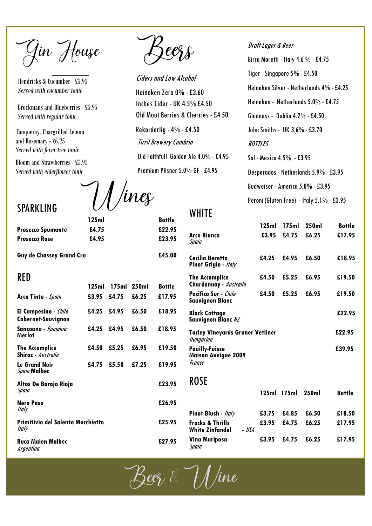Gin House

Hendricks & Cucumber - £5.95 *Served with cucumber tonic*

Brockmans and Blueberries - £5.95 *Served with regular tonic*

Tanqueray, Chargrilled Lemon and Rosemary - £6.25 *Served with fever tree tonic*

Bloom and Strawberries - £5.95 *Served with elderflower tonic*

[] /ines

**125ml Bottle**

Prosecco Spumante  $£4.75$  £22.95 **Prosecco Rose £4.95 £23.95**

SPARKLING

**Guy de Chassey Grand Cru £45.00**

#### RED

|                                                                 | 125ml |       | 175ml 250ml | Bottle |
|-----------------------------------------------------------------|-------|-------|-------------|--------|
| Arco Tinto - Spain                                              | £3.95 | £4.75 | £6.25       | £17.95 |
| <b>El Campesino</b> - <i>Chile</i><br><b>Cabernet-Sauvignon</b> | £4.25 | £4.95 | £6.50       | £18.95 |
| Sanzoana - Romania<br>Merlot                                    | £4.25 | £4.95 | £6.50       | £18.95 |
| <b>The Accomplice</b><br>Shiraz - Australia                     | £4.50 | £5.25 | £6.95       | £19.50 |
| <b>Le Grand Noir</b><br><b>Spain Malbec</b>                     | £4.75 | £5.50 | £7.25       | £19.95 |
| Altos De Baroja Rioja<br>Spain                                  |       |       |             | £23.95 |
| <b>Nero Paso</b><br>ltaly                                       |       |       |             | £26.95 |
| <b>Primitivio del Salento Mucchietto</b><br>ltaly               |       |       | £25.95      |        |
| <b>Ruca Malen Malbec</b><br>Argentina                           |       |       |             | £27.95 |

Ciders and Low Alcohol

Heineken Zero 0% -£3.60 Inches Cider - UK 4.5% £4.50 Old Mout Berries & Cherries -£4.50 Rekorderlig -4% -£4.50 Tirril Brewery Cumbria Old Faithfull Golden Ale 4.0% - £4.95 Premium Pilsner 5.0% GF - £4.95

Draft Lager & Beer Birra Moretti - Italy 4.6 % - £4.75 Tiger - Singapore 5% - £4.50 Heineken Silver - Netherlands 4% - £4.25 Heineken - Netherlands 5.0% - £4.75 Guinness - Dublin 4.2% - £4.50 John Smiths - UK 3.6% - £3.70 **BOTTLES** Sol - Mexico 4.5% - £3.95 Desperados - Netherlands 5.9% - £3.95 Budweiser - America 5.0% - £3.95 Peroni (Gluten Free) - Italy 5.1% - £3.95

**WHITE** 

|                                                               | 125ml | 175ml | 250ml | <b>Bottle</b> |
|---------------------------------------------------------------|-------|-------|-------|---------------|
| <b>Arco Bianco</b><br>Spain                                   | £3.95 | £4.75 | £6.25 | £17.95        |
| Cecilia Beretta<br>Pinot Grigio - Italy                       | £4.25 | £4.95 | £6.50 | £18.95        |
| <b>The Accomplice</b><br>Chardonnay - Australia               | £4.50 | £5.25 | £6.95 | £19.50        |
| Pacifico Sur - <i>Chile</i><br>Savvignon Blanc                | £4.50 | £5.25 | £6.95 | £19.50        |
| <b>Black Cottage</b><br>Sauvignon Blanc NZ                    |       |       |       | £22.95        |
| <b>Torley Vineyards Gruner Vetliner</b><br>Hungarian          |       |       |       | £22.95        |
| <b>Pouilly-Fuisse</b><br><b>Maison Auvigue 2009</b><br>France |       |       |       | £39.95        |
| <b>ROSE</b>                                                   |       |       |       |               |
|                                                               | 125ml | 175ml | 250ml | <b>Bottle</b> |

|       |                                                       |        |       | 125ml 175ml 250ml |       | <b>BOTTIE</b> |
|-------|-------------------------------------------------------|--------|-------|-------------------|-------|---------------|
| 26.95 |                                                       |        |       |                   |       |               |
|       | Pinot Blush - Italy                                   |        | £3.75 | £4.85             | £6.50 | £18.50        |
| 25.95 | <b>Frocks &amp; Thrills</b><br><b>White Zinfandel</b> | - IISA | £3.95 | £4.75             | £6.25 | £17.95        |
| 27.95 | <b>Vina Mariposa</b><br>Spain                         |        | £3.95 | £4.75             | £6.25 | £17.95        |

Beez  $\stackrel{\scriptstyle >}{\scriptstyle\sim}$   $\mathcal{H}/$ ine